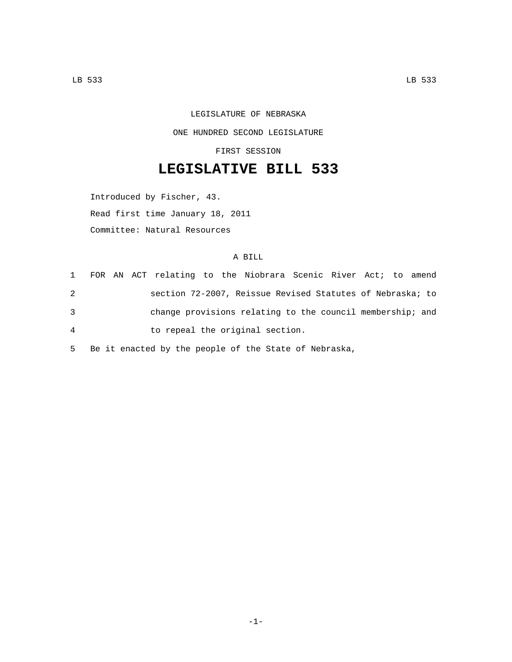## LEGISLATURE OF NEBRASKA ONE HUNDRED SECOND LEGISLATURE

FIRST SESSION

## **LEGISLATIVE BILL 533**

Introduced by Fischer, 43. Read first time January 18, 2011 Committee: Natural Resources

## A BILL

|                |  | 1 FOR AN ACT relating to the Niobrara Scenic River Act; to amend |  |  |  |  |
|----------------|--|------------------------------------------------------------------|--|--|--|--|
| 2              |  | section 72-2007, Reissue Revised Statutes of Nebraska; to        |  |  |  |  |
| 3              |  | change provisions relating to the council membership; and        |  |  |  |  |
| $\overline{4}$ |  | to repeal the original section.                                  |  |  |  |  |

5 Be it enacted by the people of the State of Nebraska,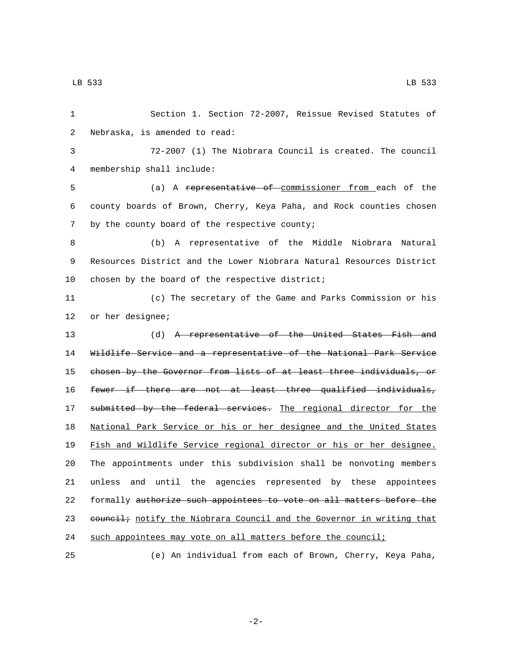Section 1. Section 72-2007, Reissue Revised Statutes of 2 Nebraska, is amended to read: 72-2007 (1) The Niobrara Council is created. The council membership shall include:4 (a) A representative of commissioner from each of the county boards of Brown, Cherry, Keya Paha, and Rock counties chosen 7 by the county board of the respective county; (b) A representative of the Middle Niobrara Natural Resources District and the Lower Niobrara Natural Resources District 10 chosen by the board of the respective district; (c) The secretary of the Game and Parks Commission or his 12 or her designee; 13 (d) A representative of the United States Fish and Wildlife Service and a representative of the National Park Service chosen by the Governor from lists of at least three individuals, or 16 fewer if there are not at least three qualified individuals, 17 submitted by the federal services. The regional director for the National Park Service or his or her designee and the United States Fish and Wildlife Service regional director or his or her designee. The appointments under this subdivision shall be nonvoting members unless and until the agencies represented by these appointees formally authorize such appointees to vote on all matters before the 23 council; notify the Niobrara Council and the Governor in writing that such appointees may vote on all matters before the council;

25 (e) An individual from each of Brown, Cherry, Keya Paha,

-2-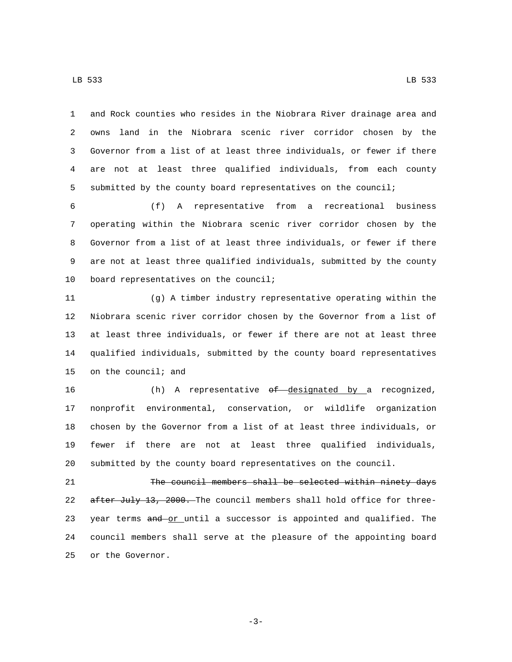and Rock counties who resides in the Niobrara River drainage area and owns land in the Niobrara scenic river corridor chosen by the Governor from a list of at least three individuals, or fewer if there are not at least three qualified individuals, from each county submitted by the county board representatives on the council;

 (f) A representative from a recreational business operating within the Niobrara scenic river corridor chosen by the Governor from a list of at least three individuals, or fewer if there are not at least three qualified individuals, submitted by the county 10 board representatives on the council;

 (g) A timber industry representative operating within the Niobrara scenic river corridor chosen by the Governor from a list of at least three individuals, or fewer if there are not at least three qualified individuals, submitted by the county board representatives 15 on the council; and

16 (h) A representative of designated by a recognized, nonprofit environmental, conservation, or wildlife organization chosen by the Governor from a list of at least three individuals, or fewer if there are not at least three qualified individuals, submitted by the county board representatives on the council.

 The council members shall be selected within ninety days 22 after July 13, 2000. The council members shall hold office for three-23 year terms and or until a successor is appointed and qualified. The council members shall serve at the pleasure of the appointing board 25 or the Governor.

-3-